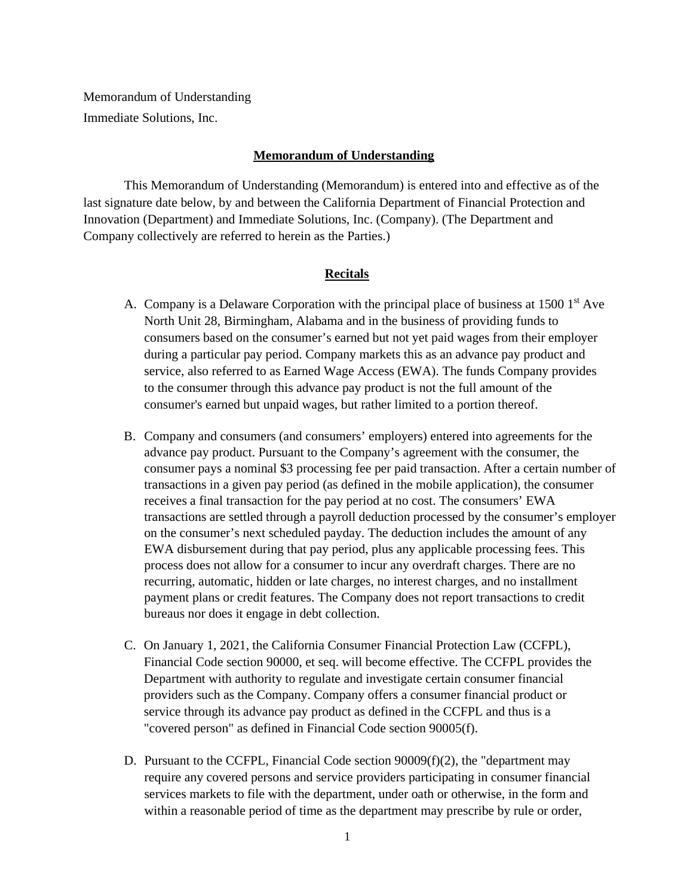Memorandum of Understanding Immediate Solutions, Inc.

## **Memorandum of Understanding**

This Memorandum of Understanding (Memorandum) is entered into and effective as of the last signature date below, by and between the California Department of Financial Protection and Innovation (Department) and Immediate Solutions, Inc. (Company). (The Department and Company collectively are referred to herein as the Parties.)

## **Recitals**

- A. Company is a Delaware Corporation with the principal place of business at  $15001<sup>st</sup>$  Ave North Unit 28, Birmingham, Alabama and in the business of providing funds to consumers based on the consumer's earned but not yet paid wages from their employer during a particular pay period. Company markets this as an advance pay product and service, also referred to as Earned Wage Access (EWA). The funds Company provides to the consumer through this advance pay product is not the full amount of the consumer's earned but unpaid wages, but rather limited to a portion thereof.
- B. Company and consumers (and consumers' employers) entered into agreements for the advance pay product. Pursuant to the Company's agreement with the consumer, the consumer pays a nominal \$3 processing fee per paid transaction. After a certain number of transactions in a given pay period (as defined in the mobile application), the consumer receives a final transaction for the pay period at no cost. The consumers' EWA transactions are settled through a payroll deduction processed by the consumer's employer on the consumer's next scheduled payday. The deduction includes the amount of any EWA disbursement during that pay period, plus any applicable processing fees. This process does not allow for a consumer to incur any overdraft charges. There are no recurring, automatic, hidden or late charges, no interest charges, and no installment payment plans or credit features. The Company does not report transactions to credit bureaus nor does it engage in debt collection.
- C. On January 1, 2021, the California Consumer Financial Protection Law (CCFPL), Financial Code section 90000, et seq. will become effective. The CCFPL provides the Department with authority to regulate and investigate certain consumer financial providers such as the Company. Company offers a consumer financial product or service through its advance pay product as defined in the CCFPL and thus is a "covered person" as defined in Financial Code section 90005(f).
- D. Pursuant to the CCFPL, Financial Code section  $90009(f)(2)$ , the "department may require any covered persons and service providers participating in consumer financial services markets to file with the department, under oath or otherwise, in the form and within a reasonable period of time as the department may prescribe by rule or order,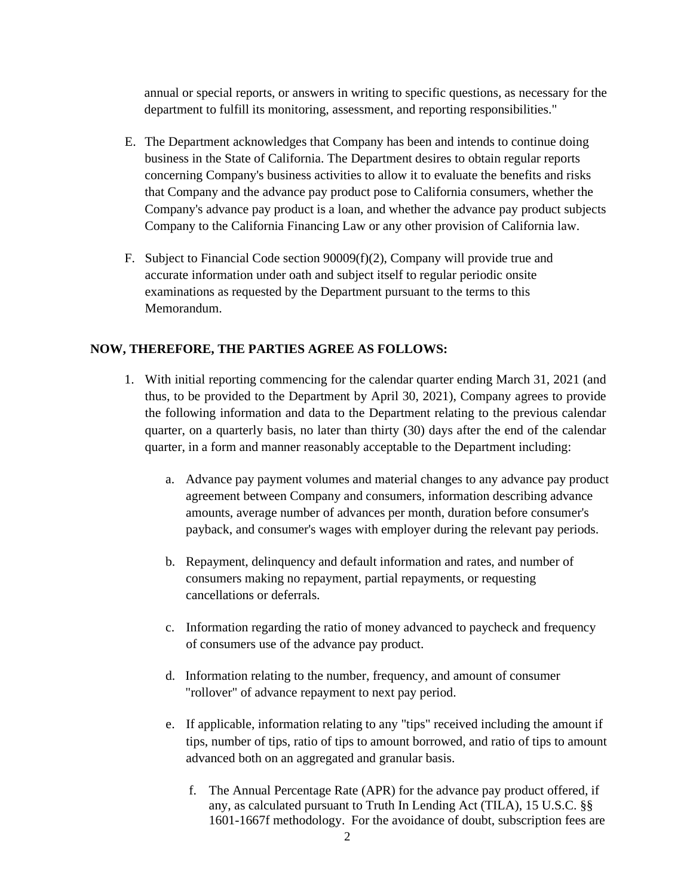annual or special reports, or answers in writing to specific questions, as necessary for the department to fulfill its monitoring, assessment, and reporting responsibilities."

- E. The Department acknowledges that Company has been and intends to continue doing business in the State of California. The Department desires to obtain regular reports concerning Company's business activities to allow it to evaluate the benefits and risks that Company and the advance pay product pose to California consumers, whether the Company's advance pay product is a loan, and whether the advance pay product subjects Company to the California Financing Law or any other provision of California law.
- F. Subject to Financial Code section 90009(f)(2), Company will provide true and accurate information under oath and subject itself to regular periodic onsite examinations as requested by the Department pursuant to the terms to this Memorandum.

# **NOW, THEREFORE, THE PARTIES AGREE AS FOLLOWS:**

- 1. With initial reporting commencing for the calendar quarter ending March 31, 2021 (and thus, to be provided to the Department by April 30, 2021), Company agrees to provide the following information and data to the Department relating to the previous calendar quarter, on a quarterly basis, no later than thirty (30) days after the end of the calendar quarter, in a form and manner reasonably acceptable to the Department including:
	- a. Advance pay payment volumes and material changes to any advance pay product agreement between Company and consumers, information describing advance amounts, average number of advances per month, duration before consumer's payback, and consumer's wages with employer during the relevant pay periods.
	- b. Repayment, delinquency and default information and rates, and number of consumers making no repayment, partial repayments, or requesting cancellations or deferrals.
	- c. Information regarding the ratio of money advanced to paycheck and frequency of consumers use of the advance pay product.
	- d. Information relating to the number, frequency, and amount of consumer "rollover" of advance repayment to next pay period.
	- e. If applicable, information relating to any "tips" received including the amount if tips, number of tips, ratio of tips to amount borrowed, and ratio of tips to amount advanced both on an aggregated and granular basis.
		- f. The Annual Percentage Rate (APR) for the advance pay product offered, if any, as calculated pursuant to Truth In Lending Act (TILA), 15 U.S.C. §§ 1601-1667f methodology. For the avoidance of doubt, subscription fees are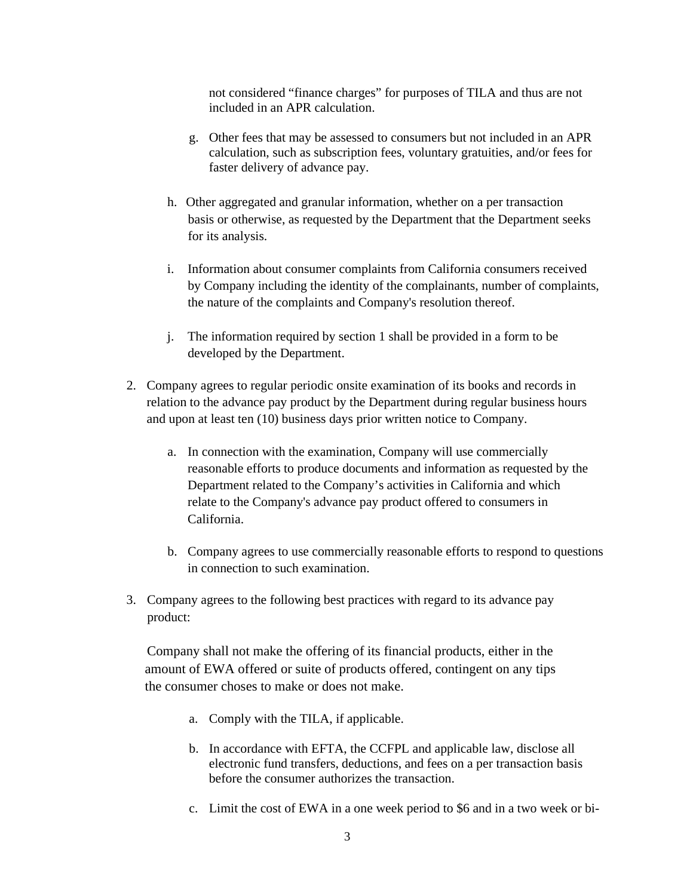not considered "finance charges" for purposes of TILA and thus are not included in an APR calculation.

- g. Other fees that may be assessed to consumers but not included in an APR calculation, such as subscription fees, voluntary gratuities, and/or fees for faster delivery of advance pay.
- h. Other aggregated and granular information, whether on a per transaction basis or otherwise, as requested by the Department that the Department seeks for its analysis.
- i. Information about consumer complaints from California consumers received by Company including the identity of the complainants, number of complaints, the nature of the complaints and Company's resolution thereof.
- j. The information required by section 1 shall be provided in a form to be developed by the Department.
- 2. Company agrees to regular periodic onsite examination of its books and records in relation to the advance pay product by the Department during regular business hours and upon at least ten (10) business days prior written notice to Company.
	- a. In connection with the examination, Company will use commercially reasonable efforts to produce documents and information as requested by the Department related to the Company's activities in California and which relate to the Company's advance pay product offered to consumers in California.
	- b. Company agrees to use commercially reasonable efforts to respond to questions in connection to such examination.
- 3. Company agrees to the following best practices with regard to its advance pay product:

 Company shall not make the offering of its financial products, either in the amount of EWA offered or suite of products offered, contingent on any tips the consumer choses to make or does not make.

- a. Comply with the TILA, if applicable.
- b. In accordance with EFTA, the CCFPL and applicable law, disclose all electronic fund transfers, deductions, and fees on a per transaction basis before the consumer authorizes the transaction.
- c. Limit the cost of EWA in a one week period to \$6 and in a two week or bi-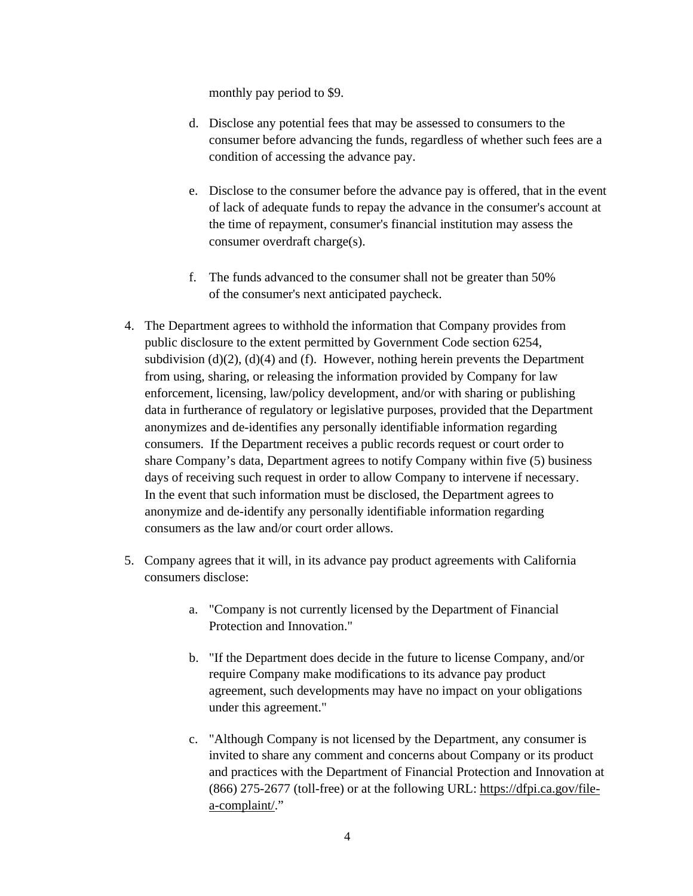monthly pay period to \$9.

- d. Disclose any potential fees that may be assessed to consumers to the consumer before advancing the funds, regardless of whether such fees are a condition of accessing the advance pay.
- e. Disclose to the consumer before the advance pay is offered, that in the event of lack of adequate funds to repay the advance in the consumer's account at the time of repayment, consumer's financial institution may assess the consumer overdraft charge(s).
- f. The funds advanced to the consumer shall not be greater than 50% of the consumer's next anticipated paycheck.
- 4. The Department agrees to withhold the information that Company provides from public disclosure to the extent permitted by Government Code section 6254, subdivision  $(d)(2)$ ,  $(d)(4)$  and  $(f)$ . However, nothing herein prevents the Department from using, sharing, or releasing the information provided by Company for law enforcement, licensing, law/policy development, and/or with sharing or publishing data in furtherance of regulatory or legislative purposes, provided that the Department anonymizes and de-identifies any personally identifiable information regarding consumers. If the Department receives a public records request or court order to share Company's data, Department agrees to notify Company within five (5) business days of receiving such request in order to allow Company to intervene if necessary. In the event that such information must be disclosed, the Department agrees to anonymize and de-identify any personally identifiable information regarding consumers as the law and/or court order allows.
- 5. Company agrees that it will, in its advance pay product agreements with California consumers disclose:
	- a. "Company is not currently licensed by the Department of Financial Protection and Innovation."
	- b. "If the Department does decide in the future to license Company, and/or require Company make modifications to its advance pay product agreement, such developments may have no impact on your obligations under this agreement."
	- c. "Although Company is not licensed by the Department, any consumer is invited to share any comment and concerns about Company or its product and practices with the Department of Financial Protection and Innovation at (866) 275-2677 (toll-free) or at the following URL: https://dfpi.ca.gov/filea-complaint/."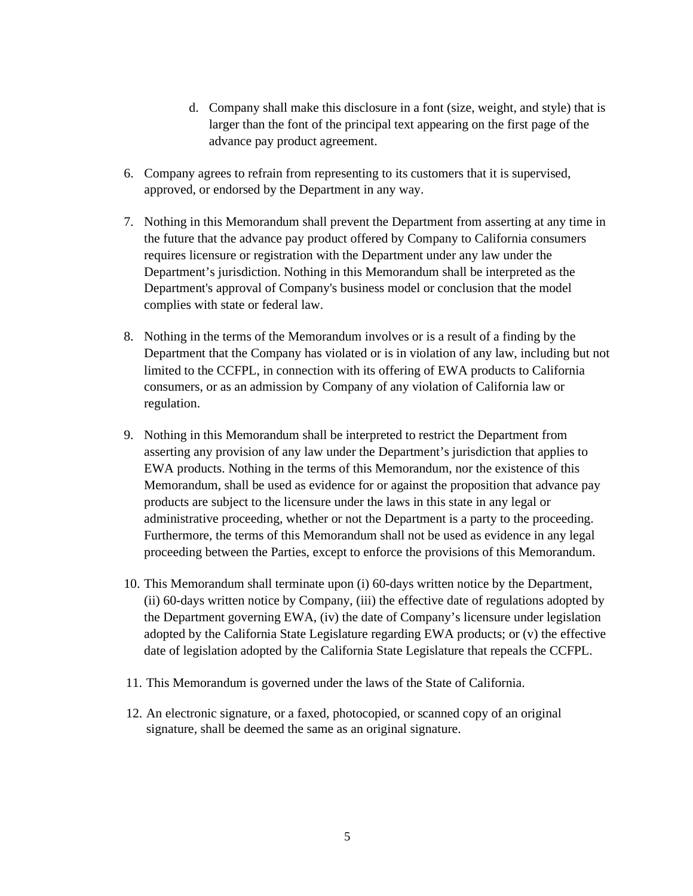- d. Company shall make this disclosure in a font (size, weight, and style) that is larger than the font of the principal text appearing on the first page of the advance pay product agreement.
- 6. Company agrees to refrain from representing to its customers that it is supervised, approved, or endorsed by the Department in any way.
- 7. Nothing in this Memorandum shall prevent the Department from asserting at any time in the future that the advance pay product offered by Company to California consumers requires licensure or registration with the Department under any law under the Department's jurisdiction. Nothing in this Memorandum shall be interpreted as the Department's approval of Company's business model or conclusion that the model complies with state or federal law.
- 8. Nothing in the terms of the Memorandum involves or is a result of a finding by the Department that the Company has violated or is in violation of any law, including but not limited to the CCFPL, in connection with its offering of EWA products to California consumers, or as an admission by Company of any violation of California law or regulation.
- 9. Nothing in this Memorandum shall be interpreted to restrict the Department from asserting any provision of any law under the Department's jurisdiction that applies to EWA products. Nothing in the terms of this Memorandum, nor the existence of this Memorandum, shall be used as evidence for or against the proposition that advance pay products are subject to the licensure under the laws in this state in any legal or administrative proceeding, whether or not the Department is a party to the proceeding. Furthermore, the terms of this Memorandum shall not be used as evidence in any legal proceeding between the Parties, except to enforce the provisions of this Memorandum.
- 10. This Memorandum shall terminate upon (i) 60-days written notice by the Department, (ii) 60-days written notice by Company, (iii) the effective date of regulations adopted by the Department governing EWA, (iv) the date of Company's licensure under legislation adopted by the California State Legislature regarding EWA products; or (v) the effective date of legislation adopted by the California State Legislature that repeals the CCFPL.
- 11. This Memorandum is governed under the laws of the State of California.
- 12. An electronic signature, or a faxed, photocopied, or scanned copy of an original signature, shall be deemed the same as an original signature.